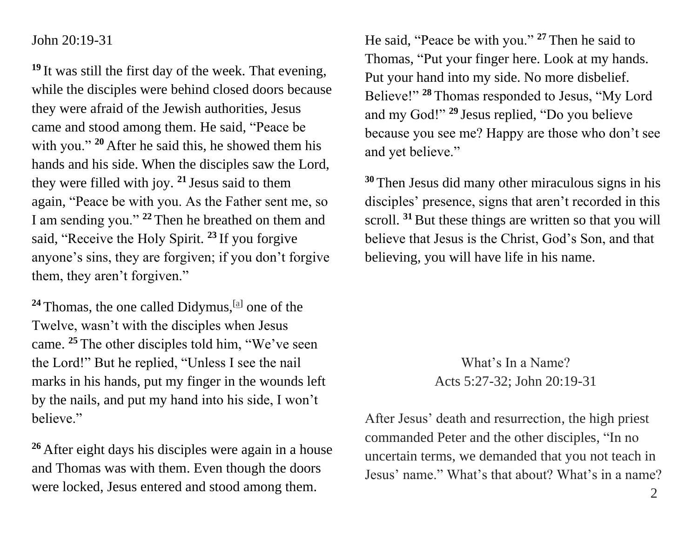## John 20:19-31

**<sup>19</sup>** It was still the first day of the week. That evening, while the disciples were behind closed doors because they were afraid of the Jewish authorities, Jesus came and stood among them. He said, "Peace be with you." <sup>20</sup> After he said this, he showed them his hands and his side. When the disciples saw the Lord, they were filled with joy. **<sup>21</sup>** Jesus said to them again, "Peace be with you. As the Father sent me, so I am sending you." **<sup>22</sup>** Then he breathed on them and said, "Receive the Holy Spirit. **<sup>23</sup>** If you forgive anyone's sins, they are forgiven; if you don't forgive them, they aren't forgiven."

 $24$  Thomas, the one called Didymus,  $^{[a]}$  $^{[a]}$  $^{[a]}$  one of the Twelve, wasn't with the disciples when Jesus came. **<sup>25</sup>** The other disciples told him, "We've seen the Lord!" But he replied, "Unless I see the nail marks in his hands, put my finger in the wounds left by the nails, and put my hand into his side, I won't believe."

**<sup>26</sup>** After eight days his disciples were again in a house and Thomas was with them. Even though the doors were locked, Jesus entered and stood among them.

He said, "Peace be with you." **<sup>27</sup>** Then he said to Thomas, "Put your finger here. Look at my hands. Put your hand into my side. No more disbelief. Believe!" **<sup>28</sup>** Thomas responded to Jesus, "My Lord and my God!" **<sup>29</sup>** Jesus replied, "Do you believe because you see me? Happy are those who don't see and yet believe."

**<sup>30</sup>** Then Jesus did many other miraculous signs in his disciples' presence, signs that aren't recorded in this scroll. <sup>31</sup> But these things are written so that you will believe that Jesus is the Christ, God's Son, and that believing, you will have life in his name.

## What's In a Name? Acts 5:27-32; John 20:19-31

After Jesus' death and resurrection, the high priest commanded Peter and the other disciples, "In no uncertain terms, we demanded that you not teach in Jesus' name." What's that about? What's in a name?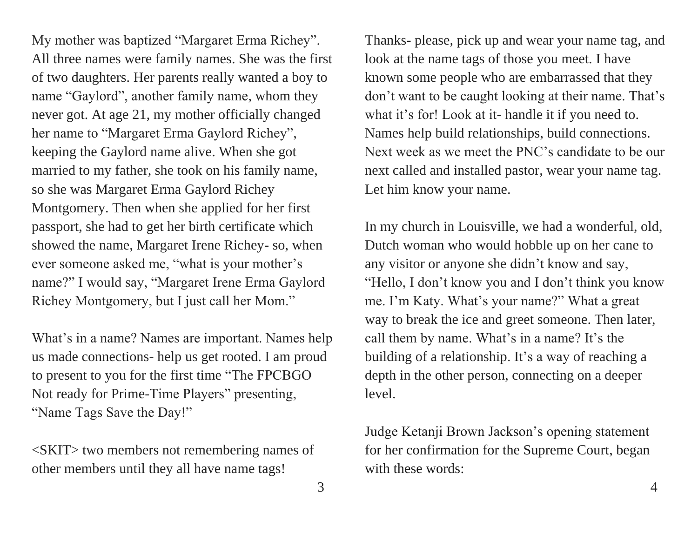My mother was baptized "Margaret Erma Richey". All three names were family names. She was the first of two daughters. Her parents really wanted a boy to name "Gaylord", another family name, whom they never got. At age 21, my mother officially changed her name to "Margaret Erma Gaylord Richey", keeping the Gaylord name alive. When she got married to my father, she took on his family name, so she was Margaret Erma Gaylord Richey Montgomery. Then when she applied for her first passport, she had to get her birth certificate which showed the name, Margaret Irene Richey- so, when ever someone asked me, "what is your mother's name?" I would say, "Margaret Irene Erma Gaylord Richey Montgomery, but I just call her Mom."

What's in a name? Names are important. Names help us made connections- help us get rooted. I am proud to present to you for the first time "The FPCBGO Not ready for Prime-Time Players" presenting, "Name Tags Save the Day!"

<SKIT> two members not remembering names of other members until they all have name tags!

Thanks- please, pick up and wear your name tag, and look at the name tags of those you meet. I have known some people who are embarrassed that they don't want to be caught looking at their name. That's what it's for! Look at it- handle it if you need to. Names help build relationships, build connections. Next week as we meet the PNC's candidate to be our next called and installed pastor, wear your name tag. Let him know your name.

In my church in Louisville, we had a wonderful, old, Dutch woman who would hobble up on her cane to any visitor or anyone she didn't know and say, "Hello, I don't know you and I don't think you know me. I'm Katy. What's your name?" What a great way to break the ice and greet someone. Then later, call them by name. What's in a name? It's the building of a relationship. It's a way of reaching a depth in the other person, connecting on a deeper level.

Judge Ketanji Brown Jackson's opening statement for her confirmation for the Supreme Court, began with these words: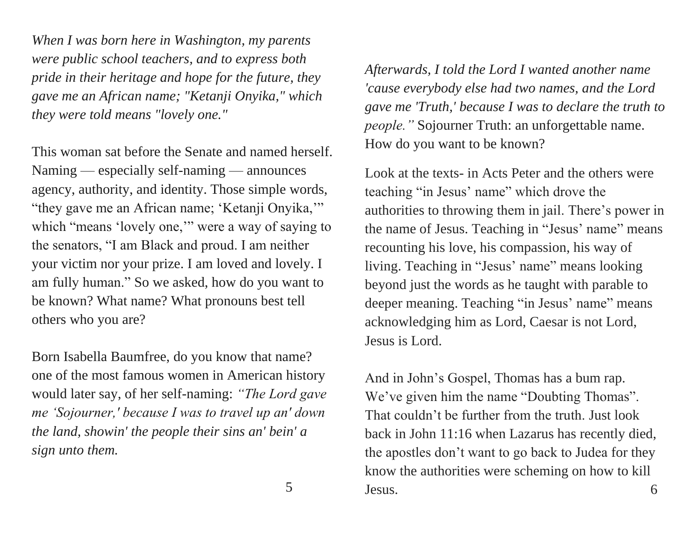*When I was born here in Washington, my parents were public school teachers, and to express both pride in their heritage and hope for the future, they gave me an African name; "Ketanji Onyika," which they were told means "lovely one."*

This woman sat before the Senate and named herself. Naming — especially self-naming — announces agency, authority, and identity. Those simple words, "they gave me an African name; 'Ketanji Onyika," which "means 'lovely one," were a way of saying to the senators, "I am Black and proud. I am neither your victim nor your prize. I am loved and lovely. I am fully human." So we asked, how do you want to be known? What name? What pronouns best tell others who you are?

Born Isabella Baumfree, do you know that name? one of the most famous women in American history would later say, of her self-naming: *"The Lord gave me 'Sojourner,' because I was to travel up an' down the land, showin' the people their sins an' bein' a sign unto them.* 

*Afterwards, I told the Lord I wanted another name 'cause everybody else had two names, and the Lord gave me 'Truth,' because I was to declare the truth to people."* Sojourner Truth: an unforgettable name. How do you want to be known?

Look at the texts- in Acts Peter and the others were teaching "in Jesus' name" which drove the authorities to throwing them in jail. There's power in the name of Jesus. Teaching in "Jesus' name" means recounting his love, his compassion, his way of living. Teaching in "Jesus' name" means looking beyond just the words as he taught with parable to deeper meaning. Teaching "in Jesus' name" means acknowledging him as Lord, Caesar is not Lord, Jesus is Lord.

And in John's Gospel, Thomas has a bum rap. We've given him the name "Doubting Thomas". That couldn't be further from the truth. Just look back in John 11:16 when Lazarus has recently died, the apostles don't want to go back to Judea for they know the authorities were scheming on how to kill Jesus. 6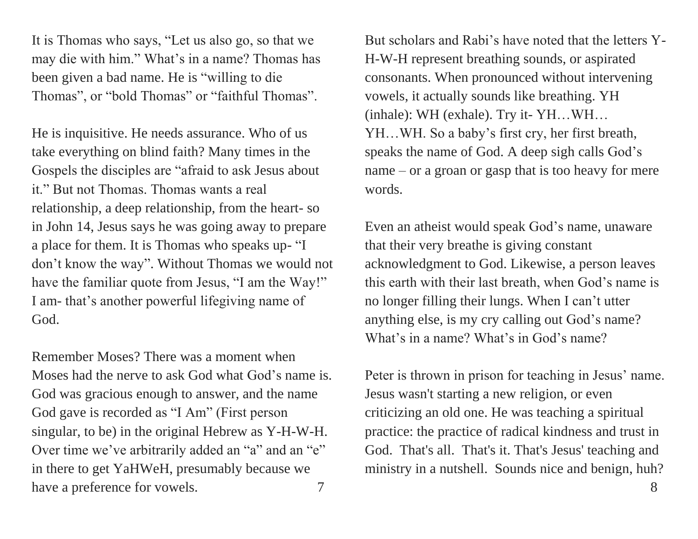It is Thomas who says, "Let us also go, so that we may die with him." What's in a name? Thomas has been given a bad name. He is "willing to die Thomas", or "bold Thomas" or "faithful Thomas".

He is inquisitive. He needs assurance. Who of us take everything on blind faith? Many times in the Gospels the disciples are "afraid to ask Jesus about it." But not Thomas. Thomas wants a real relationship, a deep relationship, from the heart- so in John 14, Jesus says he was going away to prepare a place for them. It is Thomas who speaks up- "I don't know the way". Without Thomas we would not have the familiar quote from Jesus, "I am the Way!" I am- that's another powerful lifegiving name of God.

Remember Moses? There was a moment when Moses had the nerve to ask God what God's name is. God was gracious enough to answer, and the name God gave is recorded as "I Am" (First person singular, to be) in the original Hebrew as Y-H-W-H. Over time we've arbitrarily added an "a" and an "e" in there to get YaHWeH, presumably because we have a preference for vowels. 7

But scholars and Rabi's have noted that the letters Y-H-W-H represent breathing sounds, or aspirated consonants. When pronounced without intervening vowels, it actually sounds like breathing. YH (inhale): WH (exhale). Try it- YH…WH… YH…WH. So a baby's first cry, her first breath, speaks the name of God. A deep sigh calls God's name – or a groan or gasp that is too heavy for mere words.

Even an atheist would speak God's name, unaware that their very breathe is giving constant acknowledgment to God. Likewise, a person leaves this earth with their last breath, when God's name is no longer filling their lungs. When I can't utter anything else, is my cry calling out God's name? What's in a name? What's in God's name?

Peter is thrown in prison for teaching in Jesus' name. Jesus wasn't starting a new religion, or even criticizing an old one. He was teaching a spiritual practice: the practice of radical kindness and trust in God. That's all. That's it. That's Jesus' teaching and ministry in a nutshell. Sounds nice and benign, huh?